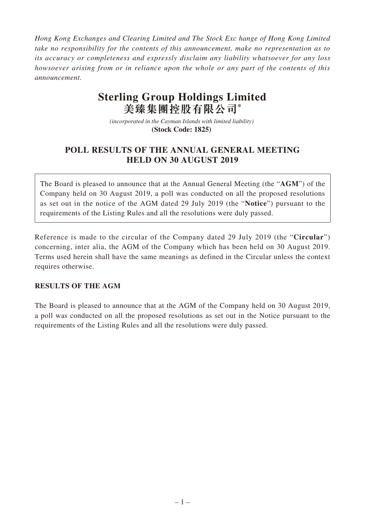*Hong Kong Exchanges and Clearing Limited and The Stock Exc hange of Hong Kong Limited take no responsibility for the contents of this announcement, make no representation as to its accuracy or completeness and expressly disclaim any liability whatsoever for any loss howsoever arising from or in reliance upon the whole or any part of the contents of this announcement.*

## **Sterling Group Holdings Limited 美臻集團控股有限公司\***

*(incorporated in the Cayman Islands with limited liability)*  **(Stock Code: 1825)** 

## **POLL RESULTS OF THE ANNUAL GENERAL MEETING HELD ON 30 AUGUST 2019**

The Board is pleased to announce that at the Annual General Meeting (the "**AGM**") of the Company held on 30 August 2019, a poll was conducted on all the proposed resolutions as set out in the notice of the AGM dated 29 July 2019 (the "**Notice**") pursuant to the requirements of the Listing Rules and all the resolutions were duly passed.

Reference is made to the circular of the Company dated 29 July 2019 (the "**Circular**") concerning, inter alia, the AGM of the Company which has been held on 30 August 2019. Terms used herein shall have the same meanings as defined in the Circular unless the context requires otherwise.

## **RESULTS OF THE AGM**

The Board is pleased to announce that at the AGM of the Company held on 30 August 2019, a poll was conducted on all the proposed resolutions as set out in the Notice pursuant to the requirements of the Listing Rules and all the resolutions were duly passed.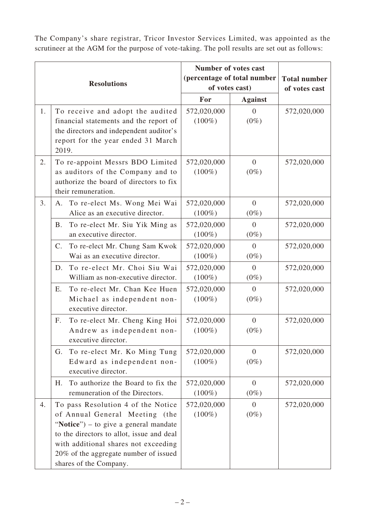The Company's share registrar, Tricor Investor Services Limited, was appointed as the scrutineer at the AGM for the purpose of vote-taking. The poll results are set out as follows:

| <b>Resolutions</b> |                                                                                                                                                                                                                                                                       | <b>Number of votes cast</b><br>(percentage of total number<br>of votes cast) |                           | <b>Total number</b><br>of votes cast |
|--------------------|-----------------------------------------------------------------------------------------------------------------------------------------------------------------------------------------------------------------------------------------------------------------------|------------------------------------------------------------------------------|---------------------------|--------------------------------------|
|                    |                                                                                                                                                                                                                                                                       | For                                                                          | <b>Against</b>            |                                      |
| 1.                 | To receive and adopt the audited<br>financial statements and the report of<br>the directors and independent auditor's<br>report for the year ended 31 March<br>2019.                                                                                                  | 572,020,000<br>$(100\%)$                                                     | $\Omega$<br>$(0\%)$       | 572,020,000                          |
| 2.                 | To re-appoint Messrs BDO Limited<br>as auditors of the Company and to<br>authorize the board of directors to fix<br>their remuneration.                                                                                                                               | 572,020,000<br>$(100\%)$                                                     | $\overline{0}$<br>$(0\%)$ | 572,020,000                          |
| 3.                 | To re-elect Ms. Wong Mei Wai<br>Α.<br>Alice as an executive director.                                                                                                                                                                                                 | 572,020,000<br>$(100\%)$                                                     | $\overline{0}$<br>$(0\%)$ | 572,020,000                          |
|                    | To re-elect Mr. Siu Yik Ming as<br><b>B.</b><br>an executive director.                                                                                                                                                                                                | 572,020,000<br>$(100\%)$                                                     | $\overline{0}$<br>$(0\%)$ | 572,020,000                          |
|                    | To re-elect Mr. Chung Sam Kwok<br>$C_{\cdot}$<br>Wai as an executive director.                                                                                                                                                                                        | 572,020,000<br>$(100\%)$                                                     | $\overline{0}$<br>$(0\%)$ | 572,020,000                          |
|                    | To re-elect Mr. Choi Siu Wai<br>D.<br>William as non-executive director.                                                                                                                                                                                              | 572,020,000<br>$(100\%)$                                                     | $\overline{0}$<br>$(0\%)$ | 572,020,000                          |
|                    | To re-elect Mr. Chan Kee Huen<br>Ε.<br>Michael as independent non-<br>executive director.                                                                                                                                                                             | 572,020,000<br>$(100\%)$                                                     | $\overline{0}$<br>$(0\%)$ | 572,020,000                          |
|                    | To re-elect Mr. Cheng King Hoi<br>F.<br>Andrew as independent non-<br>executive director.                                                                                                                                                                             | 572,020,000<br>$(100\%)$                                                     | $\overline{0}$<br>$(0\%)$ | 572,020,000                          |
|                    | To re-elect Mr. Ko Ming Tung<br>G.<br>Edward as independent non-<br>executive director.                                                                                                                                                                               | 572,020,000<br>$(100\%)$                                                     | $\overline{0}$<br>$(0\%)$ | 572,020,000                          |
|                    | To authorize the Board to fix the<br>Η.<br>remuneration of the Directors.                                                                                                                                                                                             | 572,020,000<br>$(100\%)$                                                     | $\mathbf{0}$<br>$(0\%)$   | 572,020,000                          |
| 4.                 | To pass Resolution 4 of the Notice<br>of Annual General Meeting (the<br>"Notice") – to give a general mandate<br>to the directors to allot, issue and deal<br>with additional shares not exceeding<br>20% of the aggregate number of issued<br>shares of the Company. | 572,020,000<br>$(100\%)$                                                     | $\theta$<br>$(0\%)$       | 572,020,000                          |